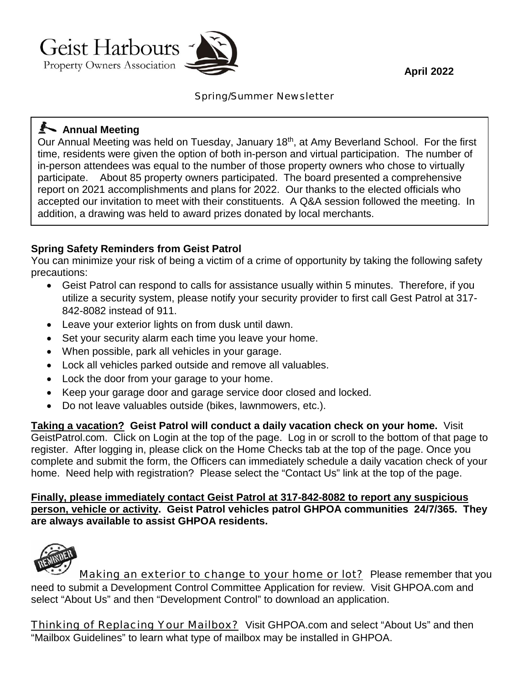**April 2022**



Spring/Summer Newsletter

## **Annual Meeting**

Our Annual Meeting was held on Tuesday, January 18<sup>th</sup>, at Amy Beverland School. For the first time, residents were given the option of both in-person and virtual participation. The number of in-person attendees was equal to the number of those property owners who chose to virtually participate. About 85 property owners participated. The board presented a comprehensive report on 2021 accomplishments and plans for 2022. Our thanks to the elected officials who accepted our invitation to meet with their constituents. A Q&A session followed the meeting. In addition, a drawing was held to award prizes donated by local merchants.

### **Spring Safety Reminders from Geist Patrol**

You can minimize your risk of being a victim of a crime of opportunity by taking the following safety precautions:

- · Geist Patrol can respond to calls for assistance usually within 5 minutes. Therefore, if you utilize a security system, please notify your security provider to first call Gest Patrol at 317- 842-8082 instead of 911.
- · Leave your exterior lights on from dusk until dawn.
- · Set your security alarm each time you leave your home.
- · When possible, park all vehicles in your garage.
- · Lock all vehicles parked outside and remove all valuables.
- · Lock the door from your garage to your home.
- · Keep your garage door and garage service door closed and locked.
- Do not leave valuables outside (bikes, lawnmowers, etc.).

**Taking a vacation? Geist Patrol will conduct a daily vacation check on your home.** Visit GeistPatrol.com. Click on Login at the top of the page. Log in or scroll to the bottom of that page to register. After logging in, please click on the Home Checks tab at the top of the page. Once you complete and submit the form, the Officers can immediately schedule a daily vacation check of your home. Need help with registration? Please select the "Contact Us" link at the top of the page.

**Finally, please immediately contact Geist Patrol at 317-842-8082 to report any suspicious person, vehicle or activity. Geist Patrol vehicles patrol GHPOA communities 24/7/365. They are always available to assist GHPOA residents.**



Making an exterior to change to your home or lot? Please remember that you need to submit a Development Control Committee Application for review. Visit GHPOA.com and select "About Us" and then "Development Control" to download an application.

Thinking of Replacing Your Mailbox? Visit GHPOA.com and select "About Us" and then "Mailbox Guidelines" to learn what type of mailbox may be installed in GHPOA.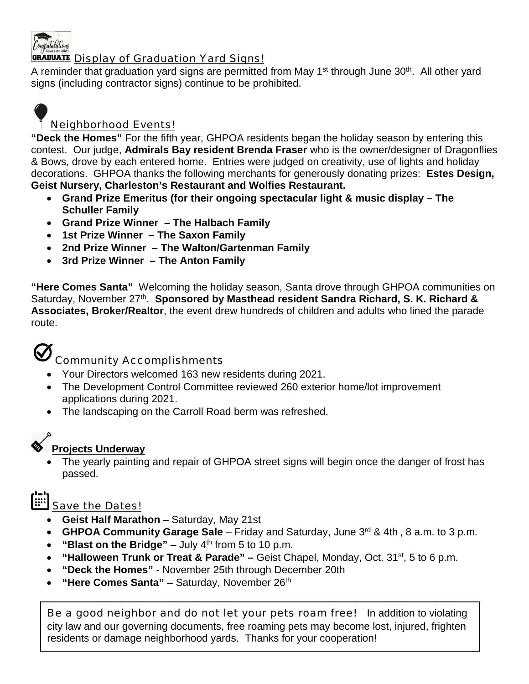

#### **GRADUATE** Display of Graduation Yard Signs!

A reminder that graduation yard signs are permitted from May  $1<sup>st</sup>$  through June  $30<sup>th</sup>$ . All other yard signs (including contractor signs) continue to be prohibited.



### Neighborhood Events!

**"Deck the Homes"** For the fifth year, GHPOA residents began the holiday season by entering this contest. Our judge, **Admirals Bay resident Brenda Fraser** who is the owner/designer of Dragonflies & Bows, drove by each entered home. Entries were judged on creativity, use of lights and holiday decorations. GHPOA thanks the following merchants for generously donating prizes: **Estes Design, Geist Nursery, Charleston's Restaurant and Wolfies Restaurant.**

- · **Grand Prize Emeritus (for their ongoing spectacular light & music display – The Schuller Family**
- · **Grand Prize Winner – The Halbach Family**
- · **1st Prize Winner – The Saxon Family**
- · **2nd Prize Winner – The Walton/Gartenman Family**
- · **3rd Prize Winner – The Anton Family**

**"Here Comes Santa"** Welcoming the holiday season, Santa drove through GHPOA communities on Saturday, November 27<sup>th</sup>. **Sponsored by Masthead resident Sandra Richard, S. K. Richard & Associates, Broker/Realtor**, the event drew hundreds of children and adults who lined the parade route.



## Community Accomplishments

- · Your Directors welcomed 163 new residents during 2021.
- · The Development Control Committee reviewed 260 exterior home/lot improvement applications during 2021.
- · The landscaping on the Carroll Road berm was refreshed.

## **Projects Underway**

The yearly painting and repair of GHPOA street signs will begin once the danger of frost has passed.



- · **Geist Half Marathon** Saturday, May 21st
- · **GHPOA Community Garage Sale** Friday and Saturday, June 3rd & 4th , 8 a.m. to 3 p.m.
- · **"Blast on the Bridge"** July 4th from 5 to 10 p.m.
- · **"Halloween Trunk or Treat & Parade" –** Geist Chapel, Monday, Oct. 31st, 5 to 6 p.m.
- · **"Deck the Homes"** November 25th through December 20th
- · **"Here Comes Santa"** Saturday, November 26th

Be a good neighbor and do not let your pets roam free! In addition to violating city law and our governing documents, free roaming pets may become lost, injured, frighten residents or damage neighborhood yards. Thanks for your cooperation!